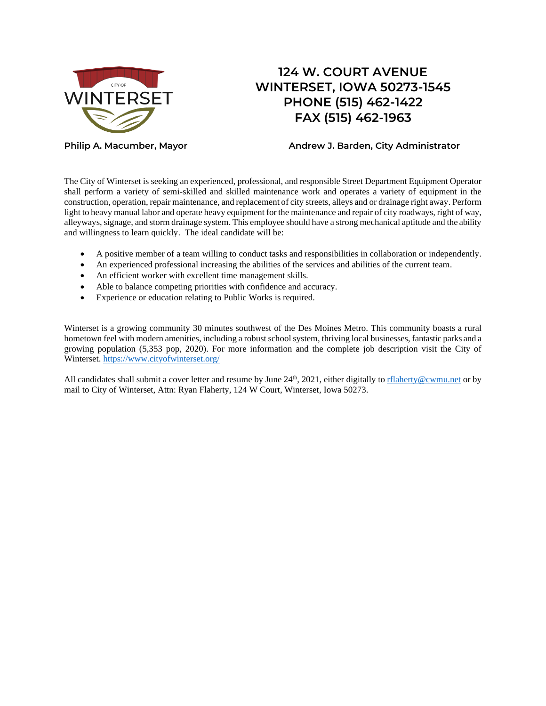

# **124 W. COURT AVENUE WINTERSET, IOWA 50273-1545 PHONE (515) 462-1422 FAX (515) 462-1963**

**Philip A. Macumber, Mayor Andrew J. Barden, City Administrator**

The City of Winterset is seeking an experienced, professional, and responsible Street Department Equipment Operator shall perform a variety of semi-skilled and skilled maintenance work and operates a variety of equipment in the construction, operation, repair maintenance, and replacement of city streets, alleys and or drainage right away. Perform light to heavy manual labor and operate heavy equipment for the maintenance and repair of city roadways, right of way, alleyways, signage, and storm drainage system. This employee should have a strong mechanical aptitude and the ability and willingness to learn quickly. The ideal candidate will be:

- A positive member of a team willing to conduct tasks and responsibilities in collaboration or independently.
- An experienced professional increasing the abilities of the services and abilities of the current team.
- An efficient worker with excellent time management skills.
- Able to balance competing priorities with confidence and accuracy.
- Experience or education relating to Public Works is required.

Winterset is a growing community 30 minutes southwest of the Des Moines Metro. This community boasts a rural hometown feel with modern amenities, including a robust school system, thriving local businesses, fantastic parks and a growing population (5,353 pop, 2020). For more information and the complete job description visit the City of Winterset.<https://www.cityofwinterset.org/>

All candidates shall submit a cover letter and resume by June 24<sup>th</sup>, 2021, either digitally to r*flaherty@cwmu.net* or by mail to City of Winterset, Attn: Ryan Flaherty, 124 W Court, Winterset, Iowa 50273.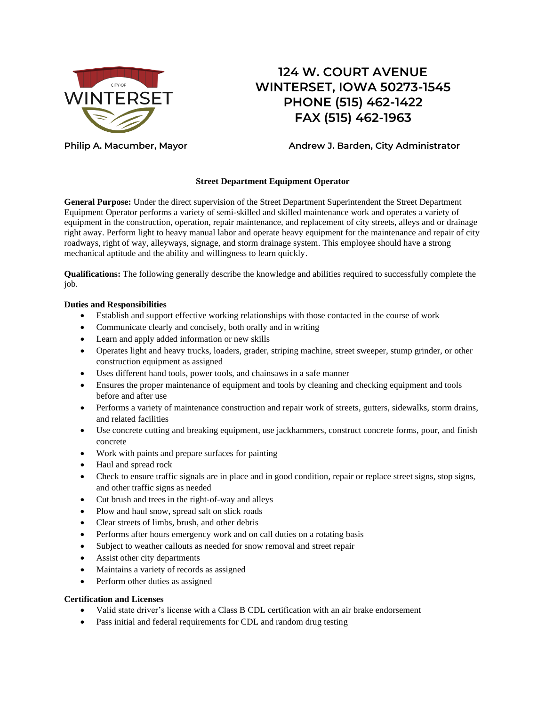

## **124 W. COURT AVENUE WINTERSET, IOWA 50273-1545 PHONE (515) 462-1422 FAX (515) 462-1963**

## **Philip A. Macumber, Mayor Andrew J. Barden, City Administrator**

## **Street Department Equipment Operator**

**General Purpose:** Under the direct supervision of the Street Department Superintendent the Street Department Equipment Operator performs a variety of semi-skilled and skilled maintenance work and operates a variety of equipment in the construction, operation, repair maintenance, and replacement of city streets, alleys and or drainage right away. Perform light to heavy manual labor and operate heavy equipment for the maintenance and repair of city roadways, right of way, alleyways, signage, and storm drainage system. This employee should have a strong mechanical aptitude and the ability and willingness to learn quickly.

**Qualifications:** The following generally describe the knowledge and abilities required to successfully complete the job.

#### **Duties and Responsibilities**

- Establish and support effective working relationships with those contacted in the course of work
- Communicate clearly and concisely, both orally and in writing
- Learn and apply added information or new skills
- Operates light and heavy trucks, loaders, grader, striping machine, street sweeper, stump grinder, or other construction equipment as assigned
- Uses different hand tools, power tools, and chainsaws in a safe manner
- Ensures the proper maintenance of equipment and tools by cleaning and checking equipment and tools before and after use
- Performs a variety of maintenance construction and repair work of streets, gutters, sidewalks, storm drains, and related facilities
- Use concrete cutting and breaking equipment, use jackhammers, construct concrete forms, pour, and finish concrete
- Work with paints and prepare surfaces for painting
- Haul and spread rock
- Check to ensure traffic signals are in place and in good condition, repair or replace street signs, stop signs, and other traffic signs as needed
- Cut brush and trees in the right-of-way and alleys
- Plow and haul snow, spread salt on slick roads
- Clear streets of limbs, brush, and other debris
- Performs after hours emergency work and on call duties on a rotating basis
- Subject to weather callouts as needed for snow removal and street repair
- Assist other city departments
- Maintains a variety of records as assigned
- Perform other duties as assigned

#### **Certification and Licenses**

- Valid state driver's license with a Class B CDL certification with an air brake endorsement
- Pass initial and federal requirements for CDL and random drug testing